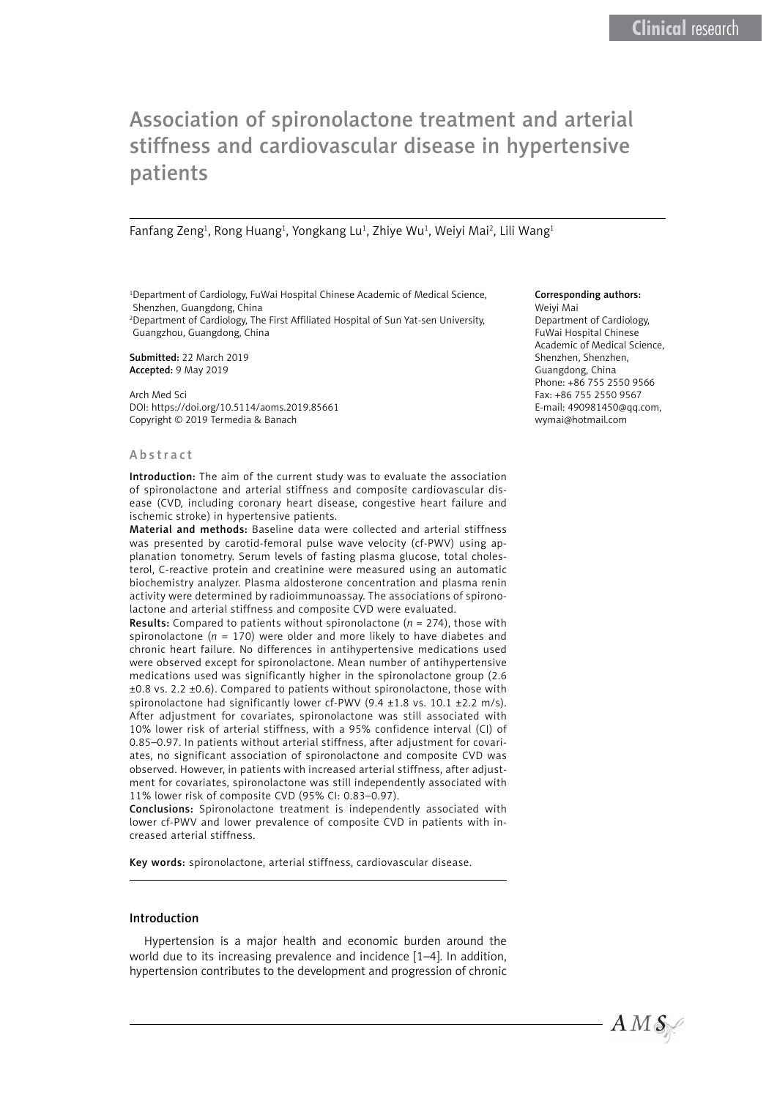# Association of spironolactone treatment and arterial stiffness and cardiovascular disease in hypertensive patients

Fanfang Zeng<sup>1</sup>, Rong Huang<sup>1</sup>, Yongkang Lu<sup>1</sup>, Zhiye Wu<sup>1</sup>, Weiyi Mai<sup>2</sup>, Lili Wang<sup>1</sup>

<sup>1</sup>Department of Cardiology, FuWai Hospital Chinese Academic of Medical Science, Shenzhen, Guangdong, China

2 Department of Cardiology, The First Affiliated Hospital of Sun Yat-sen University, Guangzhou, Guangdong, China

Submitted: 22 March 2019 Accepted: 9 May 2019

Arch Med Sci DOI: https://doi.org/10.5114/aoms.2019.85661 Copyright © 2019 Termedia & Banach

#### Abstract

Introduction: The aim of the current study was to evaluate the association of spironolactone and arterial stiffness and composite cardiovascular disease (CVD, including coronary heart disease, congestive heart failure and ischemic stroke) in hypertensive patients.

Material and methods: Baseline data were collected and arterial stiffness was presented by carotid-femoral pulse wave velocity (cf-PWV) using applanation tonometry. Serum levels of fasting plasma glucose, total cholesterol, C-reactive protein and creatinine were measured using an automatic biochemistry analyzer. Plasma aldosterone concentration and plasma renin activity were determined by radioimmunoassay. The associations of spironolactone and arterial stiffness and composite CVD were evaluated.

Results: Compared to patients without spironolactone (*n* = 274), those with spironolactone (*n* = 170) were older and more likely to have diabetes and chronic heart failure. No differences in antihypertensive medications used were observed except for spironolactone. Mean number of antihypertensive medications used was significantly higher in the spironolactone group (2.6 ±0.8 vs. 2.2 ±0.6). Compared to patients without spironolactone, those with spironolactone had significantly lower cf-PWV  $(9.4 \pm 1.8 \text{ vs. } 10.1 \pm 2.2 \text{ m/s}).$ After adjustment for covariates, spironolactone was still associated with 10% lower risk of arterial stiffness, with a 95% confidence interval (CI) of 0.85–0.97. In patients without arterial stiffness, after adjustment for covariates, no significant association of spironolactone and composite CVD was observed. However, in patients with increased arterial stiffness, after adjustment for covariates, spironolactone was still independently associated with 11% lower risk of composite CVD (95% CI: 0.83–0.97).

Conclusions: Spironolactone treatment is independently associated with lower cf-PWV and lower prevalence of composite CVD in patients with increased arterial stiffness.

Key words: spironolactone, arterial stiffness, cardiovascular disease.

### Introduction

Hypertension is a major health and economic burden around the world due to its increasing prevalence and incidence [1–4]. In addition, hypertension contributes to the development and progression of chronic

#### Corresponding authors: Weiyi Mai

Department of Cardiology, FuWai Hospital Chinese Academic of Medical Science, Shenzhen, Shenzhen, Guangdong, China Phone: +86 755 2550 9566 Fax: [+86 755 2550 9567](https://www.google.com/search?source=hp&ei=9tiSXN-TGsimjwSBm4CIDg&q=%E6%B7%B1%E5%9C%B3%E5%AD%99%E9%80%B8%E4%BB%99%E5%BF%83%E8%A1%80%E7%AE%A1%E5%8C%BB%E9%99%A2&oq=%E6%B7%B1%E5%9C%B3%E5%AD%99%E9%80%B8%E4%BB%99&gs_l=psy-ab.1.0.0.6072.7603..9013...0.0..0.254.466.0j2j1......0....1..gws-wiz.....0.D0g6JzB3t1Q) E-mail: 490981450@qq.com, wymai@hotmail.com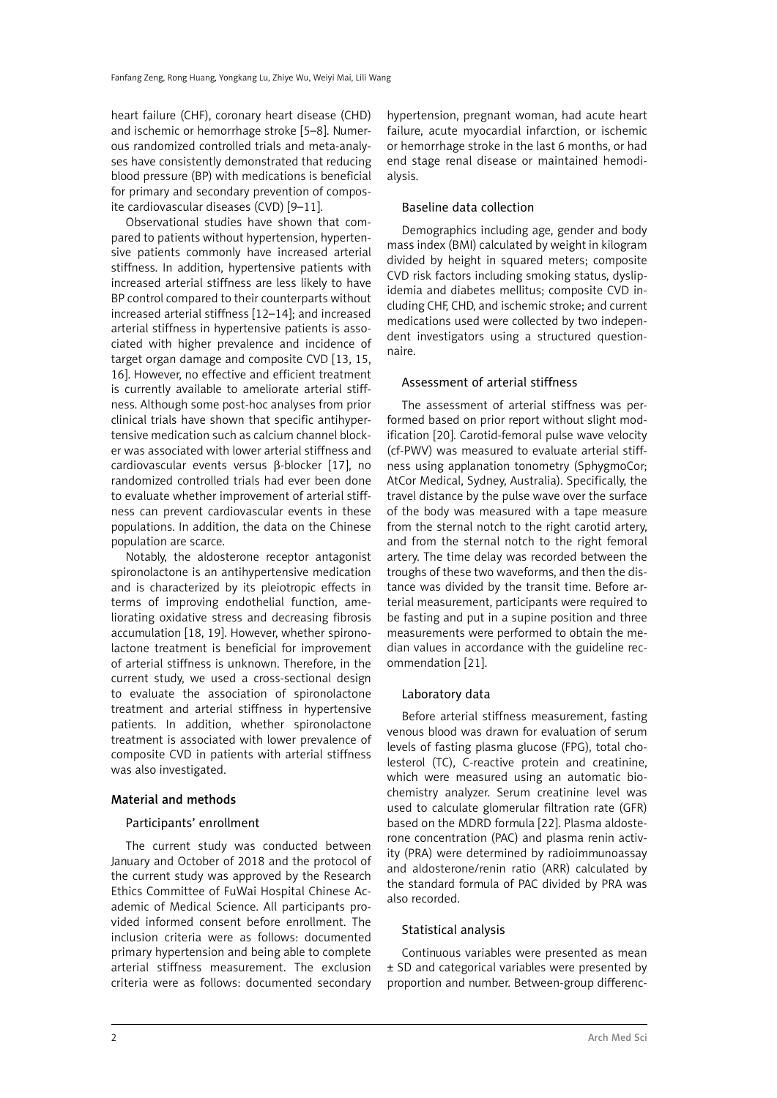heart failure (CHF), coronary heart disease (CHD) and ischemic or hemorrhage stroke [5–8]. Numerous randomized controlled trials and meta-analyses have consistently demonstrated that reducing blood pressure (BP) with medications is beneficial for primary and secondary prevention of composite cardiovascular diseases (CVD) [9–11].

Observational studies have shown that compared to patients without hypertension, hypertensive patients commonly have increased arterial stiffness. In addition, hypertensive patients with increased arterial stiffness are less likely to have BP control compared to their counterparts without increased arterial stiffness [12–14]; and increased arterial stiffness in hypertensive patients is associated with higher prevalence and incidence of target organ damage and composite CVD [13, 15, 16]. However, no effective and efficient treatment is currently available to ameliorate arterial stiffness. Although some post-hoc analyses from prior clinical trials have shown that specific antihypertensive medication such as calcium channel blocker was associated with lower arterial stiffness and cardiovascular events versus β-blocker [17], no randomized controlled trials had ever been done to evaluate whether improvement of arterial stiffness can prevent cardiovascular events in these populations. In addition, the data on the Chinese population are scarce.

Notably, the aldosterone receptor antagonist spironolactone is an antihypertensive medication and is characterized by its pleiotropic effects in terms of improving endothelial function, ameliorating oxidative stress and decreasing fibrosis accumulation [18, 19]. However, whether spironolactone treatment is beneficial for improvement of arterial stiffness is unknown. Therefore, in the current study, we used a cross-sectional design to evaluate the association of spironolactone treatment and arterial stiffness in hypertensive patients. In addition, whether spironolactone treatment is associated with lower prevalence of composite CVD in patients with arterial stiffness was also investigated.

# Material and methods

## Participants' enrollment

The current study was conducted between January and October of 2018 and the protocol of the current study was approved by the Research Ethics Committee of FuWai Hospital Chinese Academic of Medical Science. All participants provided informed consent before enrollment. The inclusion criteria were as follows: documented primary hypertension and being able to complete arterial stiffness measurement. The exclusion criteria were as follows: documented secondary hypertension, pregnant woman, had acute heart failure, acute myocardial infarction, or ischemic or hemorrhage stroke in the last 6 months, or had end stage renal disease or maintained hemodialysis.

## Baseline data collection

Demographics including age, gender and body mass index (BMI) calculated by weight in kilogram divided by height in squared meters; composite CVD risk factors including smoking status, dyslipidemia and diabetes mellitus; composite CVD including CHF, CHD, and ischemic stroke; and current medications used were collected by two independent investigators using a structured questionnaire.

# Assessment of arterial stiffness

The assessment of arterial stiffness was performed based on prior report without slight modification [20]. Carotid-femoral pulse wave velocity (cf-PWV) was measured to evaluate arterial stiffness using applanation tonometry (SphygmoCor; AtCor Medical, Sydney, Australia). Specifically, the travel distance by the pulse wave over the surface of the body was measured with a tape measure from the sternal notch to the right carotid artery, and from the sternal notch to the right femoral artery. The time delay was recorded between the troughs of these two waveforms, and then the distance was divided by the transit time. Before arterial measurement, participants were required to be fasting and put in a supine position and three measurements were performed to obtain the median values in accordance with the guideline recommendation [21].

# Laboratory data

Before arterial stiffness measurement, fasting venous blood was drawn for evaluation of serum levels of fasting plasma glucose (FPG), total cholesterol (TC), C-reactive protein and creatinine, which were measured using an automatic biochemistry analyzer. Serum creatinine level was used to calculate glomerular filtration rate (GFR) based on the MDRD formula [22]. Plasma aldosterone concentration (PAC) and plasma renin activity (PRA) were determined by radioimmunoassay and aldosterone/renin ratio (ARR) calculated by the standard formula of PAC divided by PRA was also recorded.

## Statistical analysis

Continuous variables were presented as mean ± SD and categorical variables were presented by proportion and number. Between-group differenc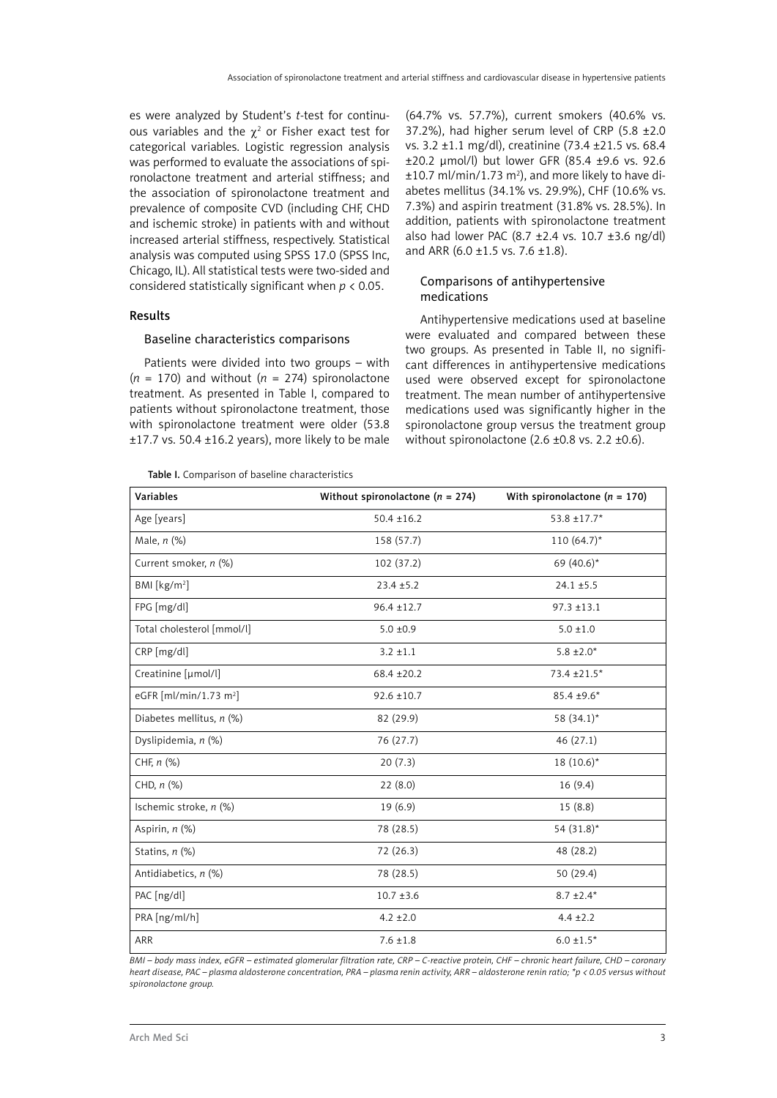es were analyzed by Student's *t*-test for continuous variables and the  $\chi^2$  or Fisher exact test for categorical variables. Logistic regression analysis was performed to evaluate the associations of spironolactone treatment and arterial stiffness; and the association of spironolactone treatment and prevalence of composite CVD (including CHF, CHD and ischemic stroke) in patients with and without increased arterial stiffness, respectively. Statistical analysis was computed using SPSS 17.0 (SPSS Inc, Chicago, IL). All statistical tests were two-sided and considered statistically significant when *p* < 0.05.

## Results

#### Baseline characteristics comparisons

Patients were divided into two groups – with  $(n = 170)$  and without  $(n = 274)$  spironolactone treatment. As presented in Table I, compared to patients without spironolactone treatment, those with spironolactone treatment were older (53.8  $±17.7$  vs. 50.4  $±16.2$  years), more likely to be male

(64.7% vs. 57.7%), current smokers (40.6% vs. 37.2%), had higher serum level of CRP (5.8  $\pm$ 2.0 vs. 3.2 ±1.1 mg/dl), creatinine (73.4 ±21.5 vs. 68.4 ±20.2 μmol/l) but lower GFR (85.4 ±9.6 vs. 92.6  $\pm 10.7$  ml/min/1.73 m<sup>2</sup>), and more likely to have diabetes mellitus (34.1% vs. 29.9%), CHF (10.6% vs. 7.3%) and aspirin treatment (31.8% vs. 28.5%). In addition, patients with spironolactone treatment also had lower PAC  $(8.7 \pm 2.4 \text{ vs. } 10.7 \pm 3.6 \text{ ng/dl})$ and ARR (6.0 ±1.5 vs. 7.6 ±1.8).

## Comparisons of antihypertensive medications

Antihypertensive medications used at baseline were evaluated and compared between these two groups. As presented in Table II, no significant differences in antihypertensive medications used were observed except for spironolactone treatment. The mean number of antihypertensive medications used was significantly higher in the spironolactone group versus the treatment group without spironolactone  $(2.6 \pm 0.8 \text{ vs. } 2.2 \pm 0.6)$ .

| <b>Variables</b>                   | Without spironolactone ( $n = 274$ ) | With spironolactone ( $n = 170$ ) |
|------------------------------------|--------------------------------------|-----------------------------------|
| Age [years]                        | $50.4 \pm 16.2$                      | $53.8 \pm 17.7$ *                 |
| Male, $n$ (%)                      | 158 (57.7)                           | 110 $(64.7)^*$                    |
| Current smoker, n (%)              | 102 (37.2)                           | 69 $(40.6)$ *                     |
| BMI [kg/m <sup>2</sup> ]           | $23.4 \pm 5.2$                       | $24.1 \pm 5.5$                    |
| FPG [mg/dl]                        | $96.4 \pm 12.7$                      | $97.3 \pm 13.1$                   |
| Total cholesterol [mmol/l]         | $5.0 \pm 0.9$                        | $5.0 \pm 1.0$                     |
| CRP [mg/dl]                        | $3.2 \pm 1.1$                        | $5.8 \pm 2.0*$                    |
| Creatinine [µmol/l]                | $68.4 \pm 20.2$                      | 73.4 ±21.5*                       |
| eGFR [ml/min/1.73 m <sup>2</sup> ] | $92.6 \pm 10.7$                      | 85.4 ±9.6*                        |
| Diabetes mellitus, n (%)           | 82 (29.9)                            | 58 (34.1)*                        |
| Dyslipidemia, n (%)                | 76 (27.7)                            | 46 (27.1)                         |
| CHF, $n$ $%$                       | 20(7.3)                              | $18(10.6)^*$                      |
| CHD, $n$ $%$                       | 22(8.0)                              | 16(9.4)                           |
| Ischemic stroke, n (%)             | 19(6.9)                              | 15(8.8)                           |
| Aspirin, n (%)                     | 78 (28.5)                            | 54 (31.8)*                        |
| Statins, n (%)                     | 72 (26.3)                            | 48 (28.2)                         |
| Antidiabetics, n (%)               | 78 (28.5)                            | 50 (29.4)                         |
| PAC [ng/dl]                        | $10.7 \pm 3.6$                       | $8.7 \pm 2.4*$                    |
| PRA[ng/ml/h]                       | $4.2 \pm 2.0$                        | $4.4 \pm 2.2$                     |
| ARR                                | $7.6 \pm 1.8$                        | $6.0 \pm 1.5*$                    |

*BMI – body mass index, eGFR – estimated glomerular filtration rate, CRP – C-reactive protein, CHF – chronic heart failure, CHD – coronary heart disease, PAC – plasma aldosterone concentration, PRA – plasma renin activity, ARR – aldosterone renin ratio; \*p < 0.05 versus without spironolactone group.*

Table I. Comparison of baseline characteristics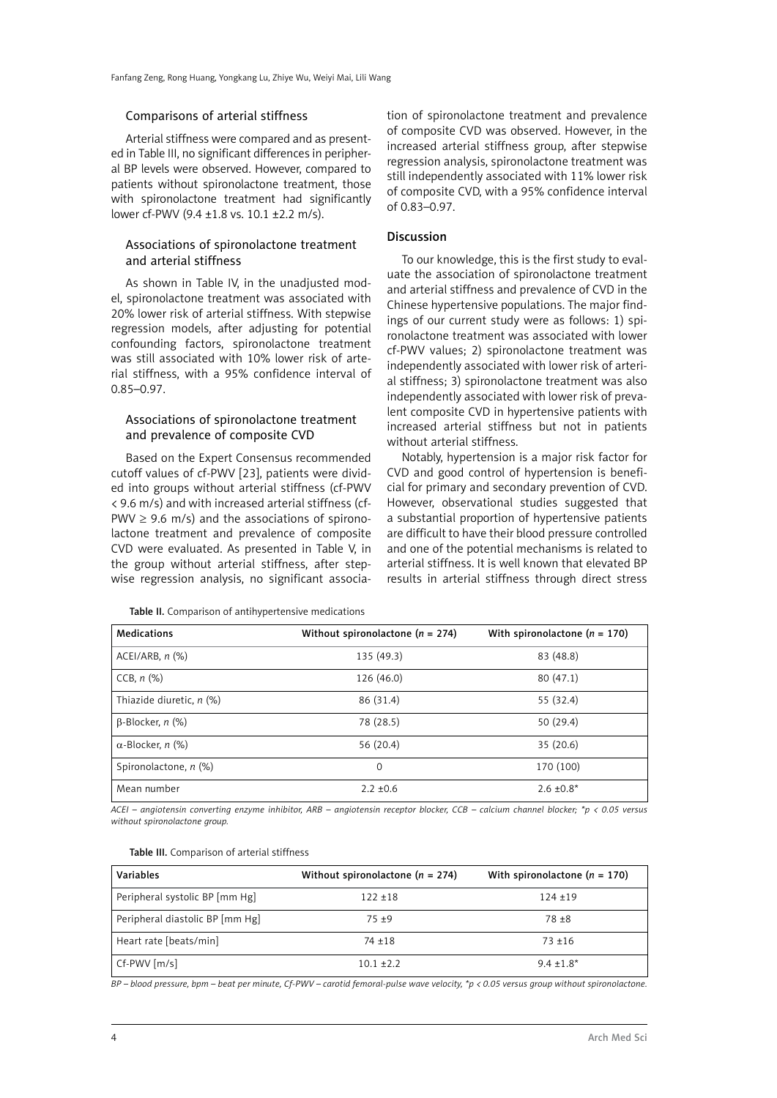#### Comparisons of arterial stiffness

Arterial stiffness were compared and as presented in Table III, no significant differences in peripheral BP levels were observed. However, compared to patients without spironolactone treatment, those with spironolactone treatment had significantly lower cf-PWV (9.4 ±1.8 vs. 10.1 ±2.2 m/s).

## Associations of spironolactone treatment and arterial stiffness

As shown in Table IV, in the unadjusted model, spironolactone treatment was associated with 20% lower risk of arterial stiffness. With stepwise regression models, after adjusting for potential confounding factors, spironolactone treatment was still associated with 10% lower risk of arterial stiffness, with a 95% confidence interval of 0.85–0.97.

## Associations of spironolactone treatment and prevalence of composite CVD

Based on the Expert Consensus recommended cutoff values of cf-PWV [23], patients were divided into groups without arterial stiffness (cf-PWV < 9.6 m/s) and with increased arterial stiffness (cf- $PWV \geq 9.6$  m/s) and the associations of spironolactone treatment and prevalence of composite CVD were evaluated. As presented in Table V, in the group without arterial stiffness, after stepwise regression analysis, no significant association of spironolactone treatment and prevalence of composite CVD was observed. However, in the increased arterial stiffness group, after stepwise regression analysis, spironolactone treatment was still independently associated with 11% lower risk of composite CVD, with a 95% confidence interval of 0.83–0.97.

### Discussion

To our knowledge, this is the first study to evaluate the association of spironolactone treatment and arterial stiffness and prevalence of CVD in the Chinese hypertensive populations. The major findings of our current study were as follows: 1) spironolactone treatment was associated with lower cf-PWV values; 2) spironolactone treatment was independently associated with lower risk of arterial stiffness; 3) spironolactone treatment was also independently associated with lower risk of prevalent composite CVD in hypertensive patients with increased arterial stiffness but not in patients without arterial stiffness.

Notably, hypertension is a major risk factor for CVD and good control of hypertension is beneficial for primary and secondary prevention of CVD. However, observational studies suggested that a substantial proportion of hypertensive patients are difficult to have their blood pressure controlled and one of the potential mechanisms is related to arterial stiffness. It is well known that elevated BP results in arterial stiffness through direct stress

Table II. Comparison of antihypertensive medications

| <b>Medications</b>         | Without spironolactone ( $n = 274$ ) | With spironolactone ( $n = 170$ ) |
|----------------------------|--------------------------------------|-----------------------------------|
| ACEI/ARB, $n$ $%$          | 135 (49.3)                           | 83 (48.8)                         |
| CCB, $n$ $%$               | 126 (46.0)                           | 80(47.1)                          |
| Thiazide diuretic, n (%)   | 86 (31.4)                            | 55 (32.4)                         |
| $\beta$ -Blocker, n $(\%)$ | 78 (28.5)                            | 50 (29.4)                         |
| $\alpha$ -Blocker, n (%)   | 56 (20.4)                            | 35(20.6)                          |
| Spironolactone, n (%)      | $\Omega$                             | 170 (100)                         |
| Mean number                | $2.2 + 0.6$                          | $2.6 \pm 0.8^*$                   |

*ACEI – angiotensin converting enzyme inhibitor, ARB – angiotensin receptor blocker, CCB – calcium channel blocker; \*p < 0.05 versus without spironolactone group.*

#### Table III. Comparison of arterial stiffness

| Variables                       | Without spironolactone ( $n = 274$ ) | With spironolactone ( $n = 170$ ) |
|---------------------------------|--------------------------------------|-----------------------------------|
| Peripheral systolic BP [mm Hg]  | $122 + 18$                           | $124 + 19$                        |
| Peripheral diastolic BP [mm Hg] | $75 + 9$                             | $78 + 8$                          |
| Heart rate [beats/min]          | $74 + 18$                            | $73 + 16$                         |
| $Cf-PWV$ $[m/s]$                | $10.1 + 2.2$                         | $9.4 \pm 1.8^*$                   |

*BP – blood pressure, bpm – beat per minute, Cf-PWV – carotid femoral-pulse wave velocity, \*p < 0.05 versus group without spironolactone.*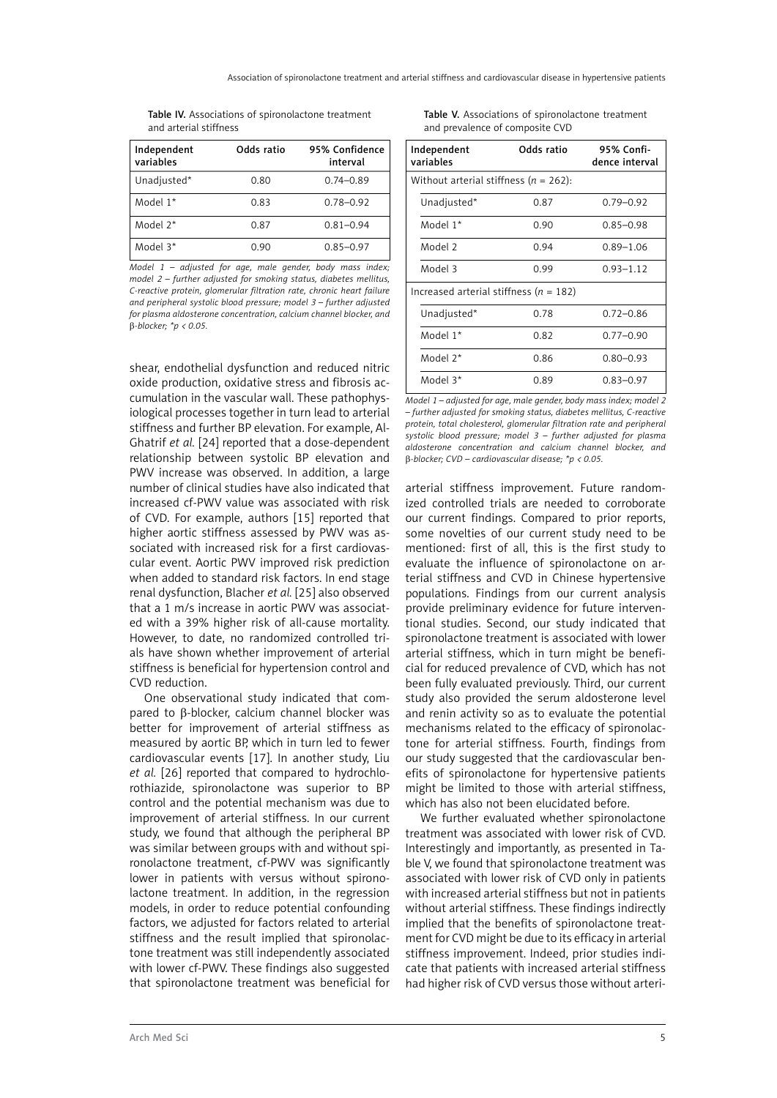| Table IV. Associations of spironolactone treatment |
|----------------------------------------------------|
| and arterial stiffness                             |

| Independent<br>variables | Odds ratio | 95% Confidence<br>interval |
|--------------------------|------------|----------------------------|
| Unadjusted*              | 0.80       | $0.74 - 0.89$              |
| Model 1*                 | 0.83       | $0.78 - 0.92$              |
| Model $2^*$              | 0.87       | $0.81 - 0.94$              |
| Model 3*                 | 0.90       | $0.85 - 0.97$              |

*Model 1 – adjusted for age, male gender, body mass index; model 2 – further adjusted for smoking status, diabetes mellitus, C-reactive protein, glomerular filtration rate, chronic heart failure and peripheral systolic blood pressure; model 3 – further adjusted for plasma aldosterone concentration, calcium channel blocker, and*  β*-blocker; \*p < 0.05.*

shear, endothelial dysfunction and reduced nitric oxide production, oxidative stress and fibrosis accumulation in the vascular wall. These pathophysiological processes together in turn lead to arterial stiffness and further BP elevation. For example, Al-Ghatrif *et al.* [24] reported that a dose-dependent relationship between systolic BP elevation and PWV increase was observed. In addition, a large number of clinical studies have also indicated that increased cf-PWV value was associated with risk of CVD. For example, authors [15] reported that higher aortic stiffness assessed by PWV was associated with increased risk for a first cardiovascular event. Aortic PWV improved risk prediction when added to standard risk factors. In end stage renal dysfunction, Blacher *et al.* [25] also observed that a 1 m/s increase in aortic PWV was associated with a 39% higher risk of all-cause mortality. However, to date, no randomized controlled trials have shown whether improvement of arterial stiffness is beneficial for hypertension control and CVD reduction.

One observational study indicated that compared to β-blocker, calcium channel blocker was better for improvement of arterial stiffness as measured by aortic BP, which in turn led to fewer cardiovascular events [17]. In another study, Liu *et al.* [26] reported that compared to hydrochlorothiazide, spironolactone was superior to BP control and the potential mechanism was due to improvement of arterial stiffness. In our current study, we found that although the peripheral BP was similar between groups with and without spironolactone treatment, cf-PWV was significantly lower in patients with versus without spironolactone treatment. In addition, in the regression models, in order to reduce potential confounding factors, we adjusted for factors related to arterial stiffness and the result implied that spironolactone treatment was still independently associated with lower cf-PWV. These findings also suggested that spironolactone treatment was beneficial for

Table V. Associations of spironolactone treatment and prevalence of composite CVD

| Independent<br>variables                   | Odds ratio | 95% Confi-<br>dence interval |
|--------------------------------------------|------------|------------------------------|
| Without arterial stiffness ( $n = 262$ ):  |            |                              |
| Unadjusted*                                | 0.87       | $0.79 - 0.92$                |
| Model 1*                                   | 0.90       | $0.85 - 0.98$                |
| Model 2                                    | 0.94       | 0.89–1.06                    |
| Model 3                                    | 0.99       | 0.93–1.12                    |
| Increased arterial stiffness ( $n = 182$ ) |            |                              |
| Unadjusted*                                | 0.78       | $0.72 - 0.86$                |
| Model 1*                                   | 0.82       | $0.77 - 0.90$                |
| Model 2*                                   | 0.86       | $0.80 - 0.93$                |
| Model 3*                                   | 0.89       | $0.83 - 0.97$                |
|                                            |            |                              |

*Model 1 – adjusted for age, male gender, body mass index; model 2 – further adjusted for smoking status, diabetes mellitus, C-reactive protein, total cholesterol, glomerular filtration rate and peripheral systolic blood pressure; model 3 – further adjusted for plasma aldosterone concentration and calcium channel blocker, and*  β*-blocker; CVD – cardiovascular disease; \*p < 0.05.*

arterial stiffness improvement. Future randomized controlled trials are needed to corroborate our current findings. Compared to prior reports, some novelties of our current study need to be mentioned: first of all, this is the first study to evaluate the influence of spironolactone on arterial stiffness and CVD in Chinese hypertensive populations. Findings from our current analysis provide preliminary evidence for future interventional studies. Second, our study indicated that spironolactone treatment is associated with lower arterial stiffness, which in turn might be beneficial for reduced prevalence of CVD, which has not been fully evaluated previously. Third, our current study also provided the serum aldosterone level and renin activity so as to evaluate the potential mechanisms related to the efficacy of spironolactone for arterial stiffness. Fourth, findings from our study suggested that the cardiovascular benefits of spironolactone for hypertensive patients might be limited to those with arterial stiffness, which has also not been elucidated before.

We further evaluated whether spironolactone treatment was associated with lower risk of CVD. Interestingly and importantly, as presented in Table V, we found that spironolactone treatment was associated with lower risk of CVD only in patients with increased arterial stiffness but not in patients without arterial stiffness. These findings indirectly implied that the benefits of spironolactone treatment for CVD might be due to its efficacy in arterial stiffness improvement. Indeed, prior studies indicate that patients with increased arterial stiffness had higher risk of CVD versus those without arteri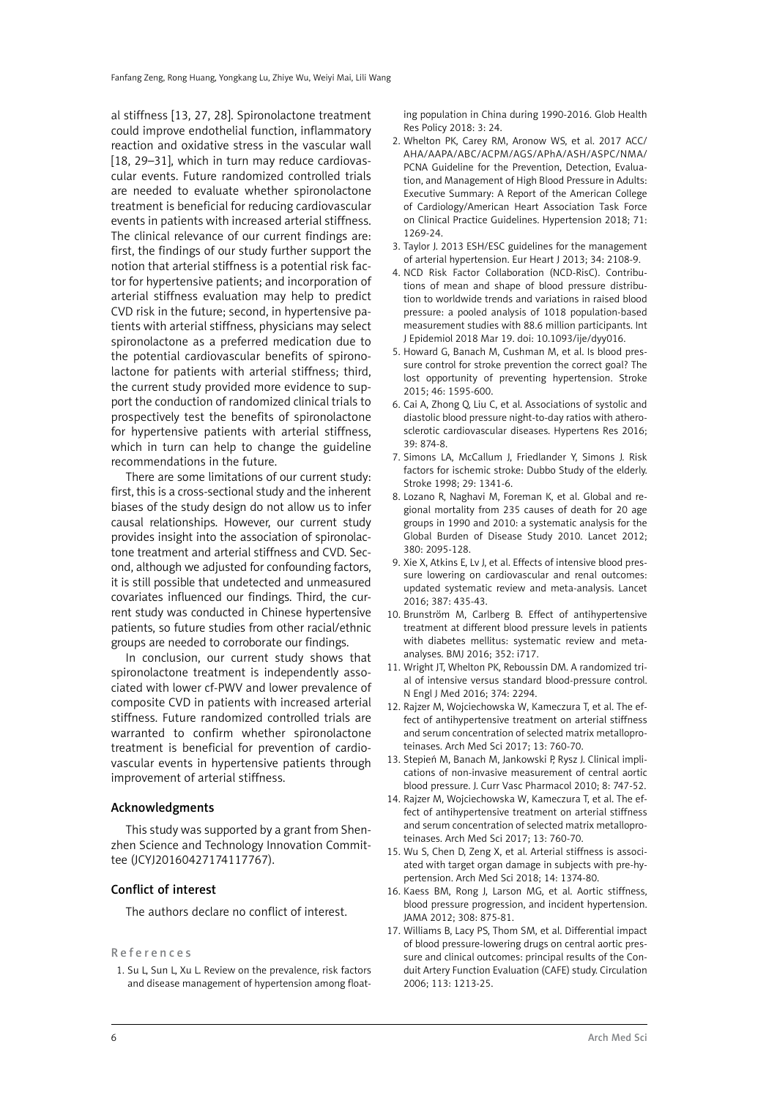al stiffness [13, 27, 28]. Spironolactone treatment could improve endothelial function, inflammatory reaction and oxidative stress in the vascular wall [18, 29-31], which in turn may reduce cardiovascular events. Future randomized controlled trials are needed to evaluate whether spironolactone treatment is beneficial for reducing cardiovascular events in patients with increased arterial stiffness. The clinical relevance of our current findings are: first, the findings of our study further support the notion that arterial stiffness is a potential risk factor for hypertensive patients; and incorporation of arterial stiffness evaluation may help to predict CVD risk in the future; second, in hypertensive patients with arterial stiffness, physicians may select spironolactone as a preferred medication due to the potential cardiovascular benefits of spironolactone for patients with arterial stiffness; third, the current study provided more evidence to support the conduction of randomized clinical trials to prospectively test the benefits of spironolactone for hypertensive patients with arterial stiffness, which in turn can help to change the guideline recommendations in the future.

There are some limitations of our current study: first, this is a cross-sectional study and the inherent biases of the study design do not allow us to infer causal relationships. However, our current study provides insight into the association of spironolactone treatment and arterial stiffness and CVD. Second, although we adjusted for confounding factors, it is still possible that undetected and unmeasured covariates influenced our findings. Third, the current study was conducted in Chinese hypertensive patients, so future studies from other racial/ethnic groups are needed to corroborate our findings.

In conclusion, our current study shows that spironolactone treatment is independently associated with lower cf-PWV and lower prevalence of composite CVD in patients with increased arterial stiffness. Future randomized controlled trials are warranted to confirm whether spironolactone treatment is beneficial for prevention of cardiovascular events in hypertensive patients through improvement of arterial stiffness.

#### Acknowledgments

This study was supported by a grant from Shenzhen Science and Technology Innovation Committee (JCYJ20160427174117767).

#### Conflict of interest

The authors declare no conflict of interest.

#### References

1. Su L, Sun L, Xu L. Review on the prevalence, risk factors and disease management of hypertension among floating population in China during 1990-2016. Glob Health Res Policy 2018: 3: 24.

- 2. Whelton PK, Carey RM, Aronow WS, et al. 2017 ACC/ AHA/AAPA/ABC/ACPM/AGS/APhA/ASH/ASPC/NMA/ PCNA Guideline for the Prevention, Detection, Evaluation, and Management of High Blood Pressure in Adults: Executive Summary: A Report of the American College of Cardiology/American Heart Association Task Force on Clinical Practice Guidelines. Hypertension 2018; 71: 1269-24.
- 3. Taylor J. 2013 ESH/ESC guidelines for the management of arterial hypertension. Eur Heart J 2013; 34: 2108-9.
- 4. NCD Risk Factor Collaboration (NCD-RisC). Contributions of mean and shape of blood pressure distribution to worldwide trends and variations in raised blood pressure: a pooled analysis of 1018 population-based measurement studies with 88.6 million participants. Int J Epidemiol 2018 Mar 19. doi: 10.1093/ije/dyy016.
- 5. Howard G, Banach M, Cushman M, et al. Is blood pressure control for stroke prevention the correct goal? The lost opportunity of preventing hypertension. Stroke 2015; 46: 1595-600.
- 6. Cai A, Zhong Q, Liu C, et al. Associations of systolic and diastolic blood pressure night-to-day ratios with atherosclerotic cardiovascular diseases. Hypertens Res 2016; 39: 874-8.
- 7. Simons LA, McCallum J, Friedlander Y, Simons J. Risk factors for ischemic stroke: Dubbo Study of the elderly. Stroke 1998; 29: 1341-6.
- 8. Lozano R, Naghavi M, Foreman K, et al. Global and regional mortality from 235 causes of death for 20 age groups in 1990 and 2010: a systematic analysis for the Global Burden of Disease Study 2010. Lancet 2012; 380: 2095-128.
- 9. Xie X, Atkins E, Lv J, et al. Effects of intensive blood pressure lowering on cardiovascular and renal outcomes: updated systematic review and meta-analysis. Lancet 2016; 387: 435-43.
- 10. Brunström M, Carlberg B. Effect of antihypertensive treatment at different blood pressure levels in patients with diabetes mellitus: systematic review and metaanalyses. BMJ 2016; 352: i717.
- 11. Wright JT, Whelton PK, Reboussin DM. A randomized trial of intensive versus standard blood-pressure control. N Engl J Med 2016; 374: 2294.
- 12. Rajzer M, Wojciechowska W, Kameczura T, et al. The effect of antihypertensive treatment on arterial stiffness and serum concentration of selected matrix metalloproteinases. Arch Med Sci 2017; 13: 760-70.
- 13. Stepień M, Banach M, Jankowski P, Rysz J. Clinical implications of non-invasive measurement of central aortic blood pressure. J. Curr Vasc Pharmacol 2010; 8: 747-52.
- 14. Rajzer M, Wojciechowska W, Kameczura T, et al. The effect of antihypertensive treatment on arterial stiffness and serum concentration of selected matrix metalloproteinases. Arch Med Sci 2017; 13: 760-70.
- 15. Wu S, Chen D, Zeng X, et al. Arterial stiffness is associated with target organ damage in subjects with pre-hypertension. Arch Med Sci 2018; 14: 1374-80.
- 16. Kaess BM, Rong J, Larson MG, et al. Aortic stiffness, blood pressure progression, and incident hypertension. JAMA 2012; 308: 875-81.
- 17. Williams B, Lacy PS, Thom SM, et al. Differential impact of blood pressure-lowering drugs on central aortic pressure and clinical outcomes: principal results of the Conduit Artery Function Evaluation (CAFE) study. Circulation 2006; 113: 1213-25.